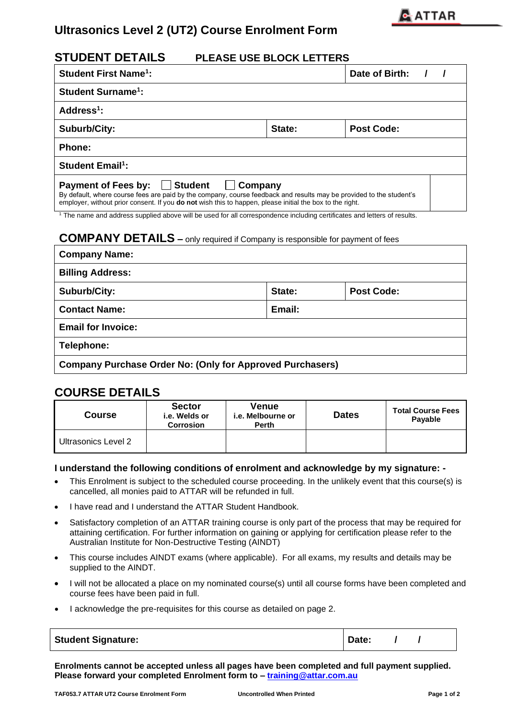

# **Ultrasonics Level 2 (UT2) Course Enrolment Form**

## **STUDENT DETAILS PLEASE USE BLOCK LETTERS**

| <b>Student First Name<sup>1</sup>:</b>                                                                                                                                                                                                                                                                     | Date of Birth: |  |  |  |  |  |  |  |
|------------------------------------------------------------------------------------------------------------------------------------------------------------------------------------------------------------------------------------------------------------------------------------------------------------|----------------|--|--|--|--|--|--|--|
| <b>Student Surname<sup>1</sup>:</b>                                                                                                                                                                                                                                                                        |                |  |  |  |  |  |  |  |
| Address $1$ :                                                                                                                                                                                                                                                                                              |                |  |  |  |  |  |  |  |
| Suburb/City:                                                                                                                                                                                                                                                                                               | Post Code:     |  |  |  |  |  |  |  |
| Phone:                                                                                                                                                                                                                                                                                                     |                |  |  |  |  |  |  |  |
| <b>Student Email<sup>1</sup></b> :                                                                                                                                                                                                                                                                         |                |  |  |  |  |  |  |  |
| Student<br><b>Payment of Fees by:</b><br>Company<br>$\mathbf{L}$<br>By default, where course fees are paid by the company, course feedback and results may be provided to the student's<br>employer, without prior consent. If you <b>do not</b> wish this to happen, please initial the box to the right. |                |  |  |  |  |  |  |  |

<sup>1</sup> The name and address supplied above will be used for all correspondence including certificates and letters of results.

## **COMPANY DETAILS –** only required if Company is responsible for payment of fees

| <b>Company Name:</b>                                             |                             |  |  |  |  |  |  |
|------------------------------------------------------------------|-----------------------------|--|--|--|--|--|--|
| <b>Billing Address:</b>                                          |                             |  |  |  |  |  |  |
| Suburb/City:                                                     | State:<br><b>Post Code:</b> |  |  |  |  |  |  |
| Email:<br><b>Contact Name:</b>                                   |                             |  |  |  |  |  |  |
| <b>Email for Invoice:</b>                                        |                             |  |  |  |  |  |  |
| Telephone:                                                       |                             |  |  |  |  |  |  |
| <b>Company Purchase Order No: (Only for Approved Purchasers)</b> |                             |  |  |  |  |  |  |

## **COURSE DETAILS**

| <b>Course</b>       | <b>Sector</b><br>i.e. Welds or<br><b>Corrosion</b> | Venue<br><i>i.e.</i> Melbourne or<br><b>Perth</b> | <b>Dates</b> | <b>Total Course Fees</b><br>Payable |  |  |
|---------------------|----------------------------------------------------|---------------------------------------------------|--------------|-------------------------------------|--|--|
| Ultrasonics Level 2 |                                                    |                                                   |              |                                     |  |  |

### **I understand the following conditions of enrolment and acknowledge by my signature: -**

- This Enrolment is subject to the scheduled course proceeding. In the unlikely event that this course(s) is cancelled, all monies paid to ATTAR will be refunded in full.
- I have read and I understand the ATTAR Student Handbook.
- Satisfactory completion of an ATTAR training course is only part of the process that may be required for attaining certification. For further information on gaining or applying for certification please refer to the Australian Institute for Non-Destructive Testing (AINDT)
- This course includes AINDT exams (where applicable). For all exams, my results and details may be supplied to the AINDT.
- I will not be allocated a place on my nominated course(s) until all course forms have been completed and course fees have been paid in full.
- I acknowledge the pre-requisites for this course as detailed on page 2.

| <b>Student Signature:</b> | Date: |  |  |
|---------------------------|-------|--|--|
|---------------------------|-------|--|--|

**Enrolments cannot be accepted unless all pages have been completed and full payment supplied. Please forward your completed Enrolment form to – [training@attar.com.au](mailto:training@attar.com.au)**